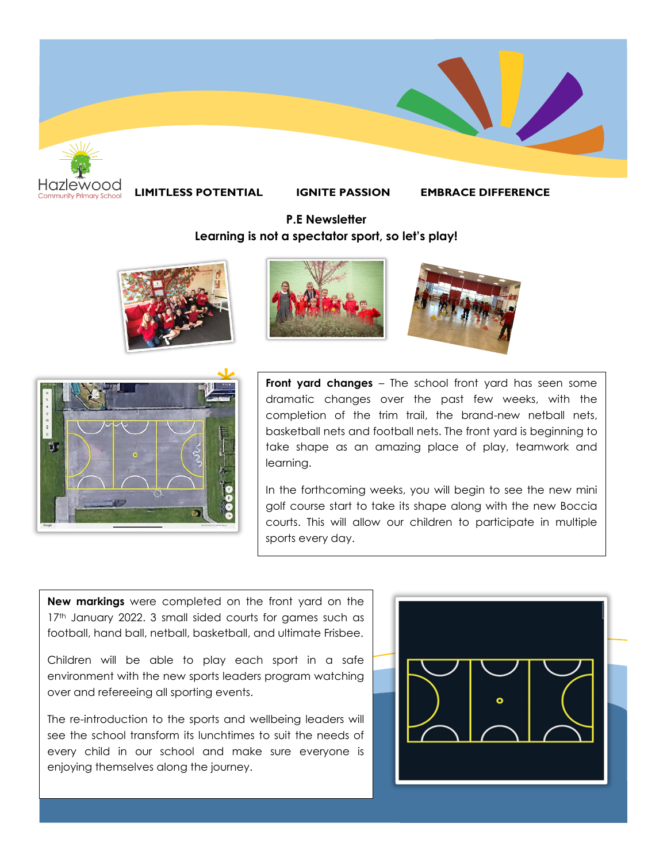

**LIMITLESS POTENTIAL IGNITE PASSION EMBRACE DIFFERENCE**

## **P.E Newsletter Learning is not a spectator sport, so let's play!**









**Front yard changes** – The school front yard has seen some dramatic changes over the past few weeks, with the completion of the trim trail, the brand-new netball nets, basketball nets and football nets. The front yard is beginning to take shape as an amazing place of play, teamwork and learning.

In the forthcoming weeks, you will begin to see the new mini golf course start to take its shape along with the new Boccia courts. This will allow our children to participate in multiple sports every day.

**New markings** were completed on the front yard on the 17th January 2022. 3 small sided courts for games such as football, hand ball, netball, basketball, and ultimate Frisbee.

Children will be able to play each sport in a safe environment with the new sports leaders program watching over and refereeing all sporting events.

The re-introduction to the sports and wellbeing leaders will see the school transform its lunchtimes to suit the needs of every child in our school and make sure everyone is enjoying themselves along the journey.